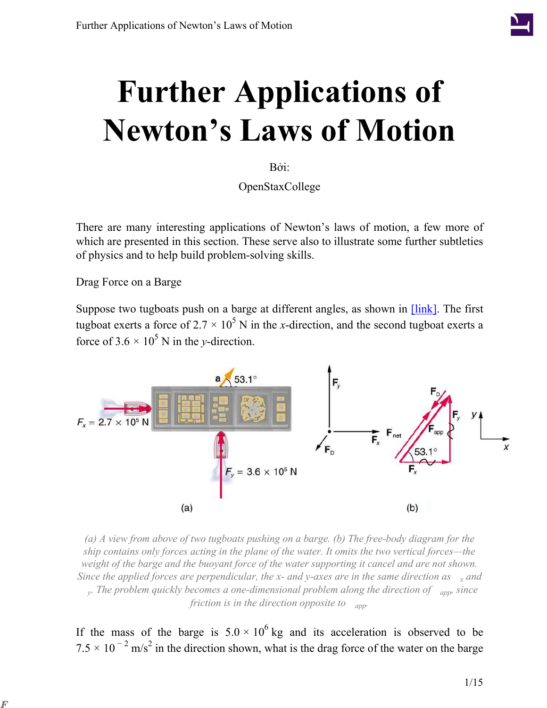

# **Further Applications of Newton's Laws of Motion**

Bởi:

OpenStaxCollege

There are many interesting applications of Newton's laws of motion, a few more of which are presented in this section. These serve also to illustrate some further subtleties of physics and to help build problem-solving skills.

Drag Force on a Barge

**F**

Suppose two tugboats push on a barge at different angles, as shown in  $[\text{link}]$ . The first tugboat exerts a force of  $2.7 \times 10^5$  N in the *x*-direction, and the second tugboat exerts a force of  $3.6 \times 10^5$  N in the *y*-direction.

<span id="page-0-0"></span>

*(a) A view from above of two tugboats pushing on a barge. (b) The free-body diagram for the ship contains only forces acting in the plane of the water. It omits the two vertical forces—the weight of the barge and the buoyant force of the water supporting it cancel and are not shown. Since the applied forces are perpendicular, the x- and y-axes are in the same direction as <sup>x</sup> and y . The problem quickly becomes a one-dimensional problem along the direction of app, since friction is in the direction opposite to app.*

If the mass of the barge is  $5.0 \times 10^6$  kg and its acceleration is observed to be  $7.5 \times 10^{-2}$  m/s<sup>2</sup> in the direction shown, what is the drag force of the water on the barge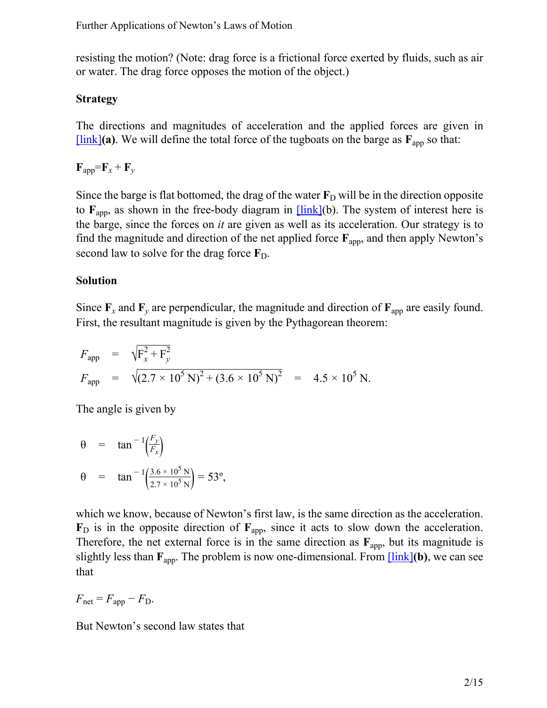resisting the motion? (Note: drag force is a frictional force exerted by fluids, such as air or water. The drag force opposes the motion of the object.)

#### **Strategy**

The directions and magnitudes of acceleration and the applied forces are given in  $\frac{\text{link}}{\text{rank}}$  (a). We will define the total force of the tugboats on the barge as  $\mathbf{F}_{\text{app}}$  so that:

 $\mathbf{F}_{\text{app}} = \mathbf{F}_x + \mathbf{F}_y$ 

Since the barge is flat bottomed, the drag of the water  $\mathbf{F}_D$  will be in the direction opposite to  $\mathbf{F}_{\text{app}}$ , as shown in the free-body diagram in  $[\text{link}](b)$ . The system of interest here is the barge, since the forces on *it* are given as well as its acceleration. Our strategy is to find the magnitude and direction of the net applied force  $\mathbf{F}_{app}$ , and then apply Newton's second law to solve for the drag force  $\mathbf{F}_D$ .

#### **Solution**

Since  $\mathbf{F}_x$  and  $\mathbf{F}_y$  are perpendicular, the magnitude and direction of  $\mathbf{F}_{app}$  are easily found. First, the resultant magnitude is given by the Pythagorean theorem:

$$
F_{\rm app} = \sqrt{F_x^2 + F_y^2}
$$
  
\n
$$
F_{\rm app} = \sqrt{(2.7 \times 10^5 \,\mathrm{N})^2 + (3.6 \times 10^5 \,\mathrm{N})^2} = 4.5 \times 10^5 \,\mathrm{N}.
$$

The angle is given by

$$
\theta = \tan^{-1}\left(\frac{F_y}{F_x}\right)
$$
  
\n
$$
\theta = \tan^{-1}\left(\frac{3.6 \times 10^5 \text{ N}}{2.7 \times 10^5 \text{ N}}\right) = 53^{\circ},
$$

which we know, because of Newton's first law, is the same direction as the acceleration.  $\mathbf{F}_D$  is in the opposite direction of  $\mathbf{F}_{\text{app}}$ , since it acts to slow down the acceleration. Therefore, the net external force is in the same direction as  $\mathbf{F}_{\text{app}}$ , but its magnitude is slightly less than  $\mathbf{F}_{\text{app}}$ . The problem is now one-dimensional. From  $\boxed{\text{link}}(\mathbf{b})$ , we can see that

 $F_{\text{net}} = F_{\text{app}} - F_{\text{D}}.$ 

But Newton's second law states that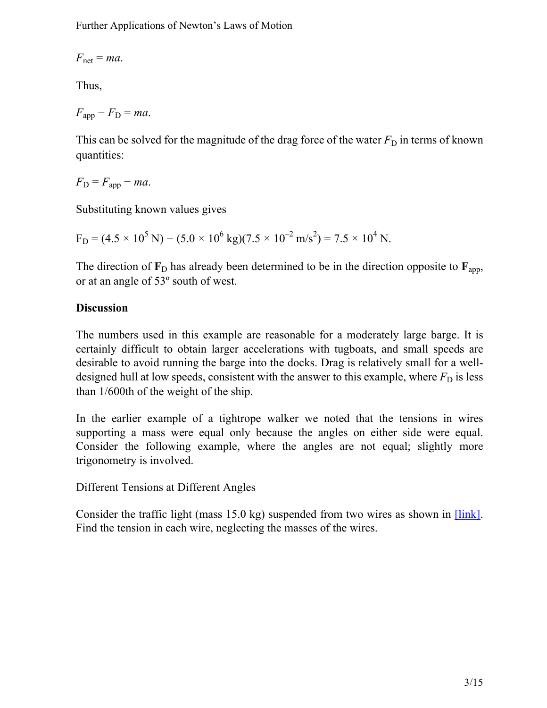Further Applications of Newton's Laws of Motion

 $F_{\text{net}} = ma$ .

Thus,

 $F_{\text{app}} - F_{\text{D}} = ma$ .

This can be solved for the magnitude of the drag force of the water  $F<sub>D</sub>$  in terms of known quantities:

 $F<sub>D</sub> = F<sub>apo</sub> - ma$ .

Substituting known values gives

 $F_D = (4.5 \times 10^5 \text{ N}) - (5.0 \times 10^6 \text{ kg})(7.5 \times 10^{-2} \text{ m/s}^2) = 7.5 \times 10^4 \text{ N}.$ 

The direction of  $\mathbf{F}_D$  has already been determined to be in the direction opposite to  $\mathbf{F}_{\text{app}}$ , or at an angle of 53º south of west.

# **Discussion**

The numbers used in this example are reasonable for a moderately large barge. It is certainly difficult to obtain larger accelerations with tugboats, and small speeds are desirable to avoid running the barge into the docks. Drag is relatively small for a welldesigned hull at low speeds, consistent with the answer to this example, where  $F<sub>D</sub>$  is less than 1/600th of the weight of the ship.

In the earlier example of a tightrope walker we noted that the tensions in wires supporting a mass were equal only because the angles on either side were equal. Consider the following example, where the angles are not equal; slightly more trigonometry is involved.

Different Tensions at Different Angles

Consider the traffic light (mass 15.0 kg) suspended from two wires as shown in  $[link]$ . Find the tension in each wire, neglecting the masses of the wires.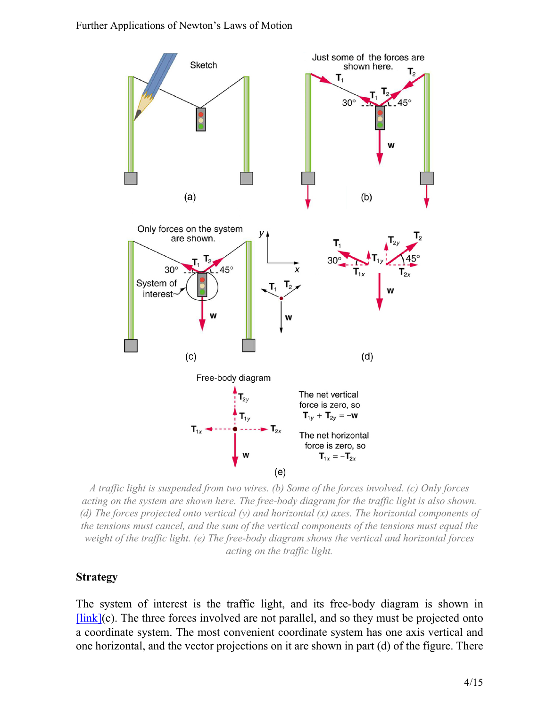<span id="page-3-0"></span>

*A traffic light is suspended from two wires. (b) Some of the forces involved. (c) Only forces acting on the system are shown here. The free-body diagram for the traffic light is also shown. (d) The forces projected onto vertical (y) and horizontal (x) axes. The horizontal components of the tensions must cancel, and the sum of the vertical components of the tensions must equal the weight of the traffic light. (e) The free-body diagram shows the vertical and horizontal forces acting on the traffic light.*

#### **Strategy**

The system of interest is the traffic light, and its free-body diagram is shown in  $[\text{link}]$ (c). The three forces involved are not parallel, and so they must be projected onto a coordinate system. The most convenient coordinate system has one axis vertical and one horizontal, and the vector projections on it are shown in part (d) of the figure. There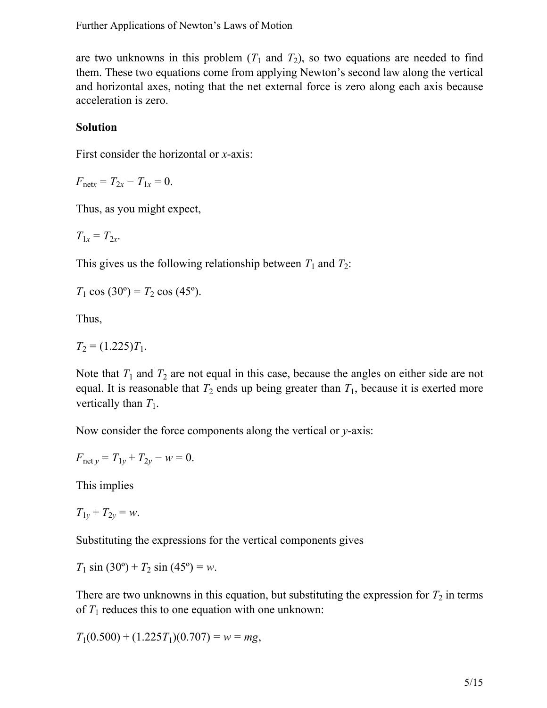are two unknowns in this problem  $(T_1$  and  $T_2$ ), so two equations are needed to find them. These two equations come from applying Newton's second law along the vertical and horizontal axes, noting that the net external force is zero along each axis because acceleration is zero.

#### **Solution**

First consider the horizontal or *x*-axis:

 $F_{\text{net}x} = T_{2x} - T_{1x} = 0.$ 

Thus, as you might expect,

$$
T_{1x}=T_{2x}.
$$

This gives us the following relationship between  $T_1$  and  $T_2$ :

$$
T_1 \cos(30^\circ) = T_2 \cos(45^\circ).
$$

Thus,

$$
T_2 = (1.225)T_1.
$$

Note that  $T_1$  and  $T_2$  are not equal in this case, because the angles on either side are not equal. It is reasonable that  $T_2$  ends up being greater than  $T_1$ , because it is exerted more vertically than  $T_1$ .

Now consider the force components along the vertical or *y*-axis:

$$
F_{\text{net }y} = T_{1y} + T_{2y} - w = 0.
$$

This implies

 $T_{1v} + T_{2v} = w$ .

Substituting the expressions for the vertical components gives

$$
T_1 \sin (30^\circ) + T_2 \sin (45^\circ) = w.
$$

There are two unknowns in this equation, but substituting the expression for  $T_2$  in terms of  $T_1$  reduces this to one equation with one unknown:

$$
T_1(0.500) + (1.225T_1)(0.707) = w = mg,
$$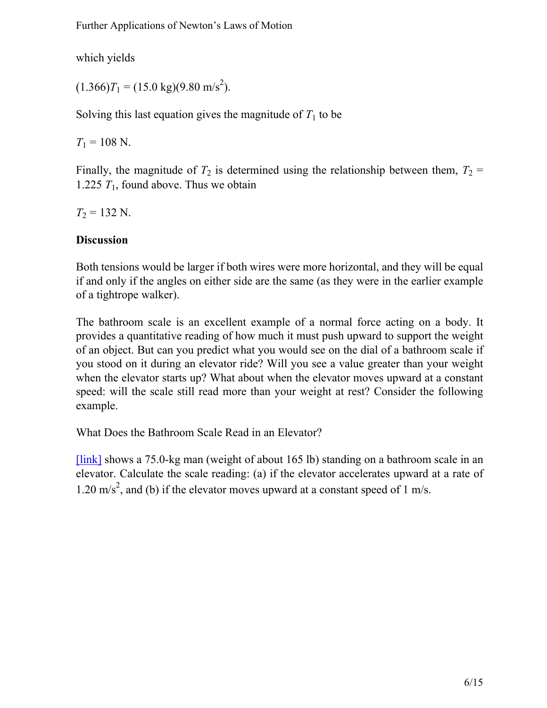Further Applications of Newton's Laws of Motion

which yields

 $(1.366)T_1 = (15.0 \text{ kg})(9.80 \text{ m/s}^2)$ .

Solving this last equation gives the magnitude of  $T_1$  to be

 $T_1 = 108$  N.

Finally, the magnitude of  $T_2$  is determined using the relationship between them,  $T_2$  = 1.225  $T_1$ , found above. Thus we obtain

 $T_2 = 132$  N.

# **Discussion**

Both tensions would be larger if both wires were more horizontal, and they will be equal if and only if the angles on either side are the same (as they were in the earlier example of a tightrope walker).

The bathroom scale is an excellent example of a normal force acting on a body. It provides a quantitative reading of how much it must push upward to support the weight of an object. But can you predict what you would see on the dial of a bathroom scale if you stood on it during an elevator ride? Will you see a value greater than your weight when the elevator starts up? What about when the elevator moves upward at a constant speed: will the scale still read more than your weight at rest? Consider the following example.

What Does the Bathroom Scale Read in an Elevator?

[\[link\]](#page-6-0) shows a 75.0-kg man (weight of about 165 lb) standing on a bathroom scale in an elevator. Calculate the scale reading: (a) if the elevator accelerates upward at a rate of 1.20 m/s<sup>2</sup>, and (b) if the elevator moves upward at a constant speed of 1 m/s.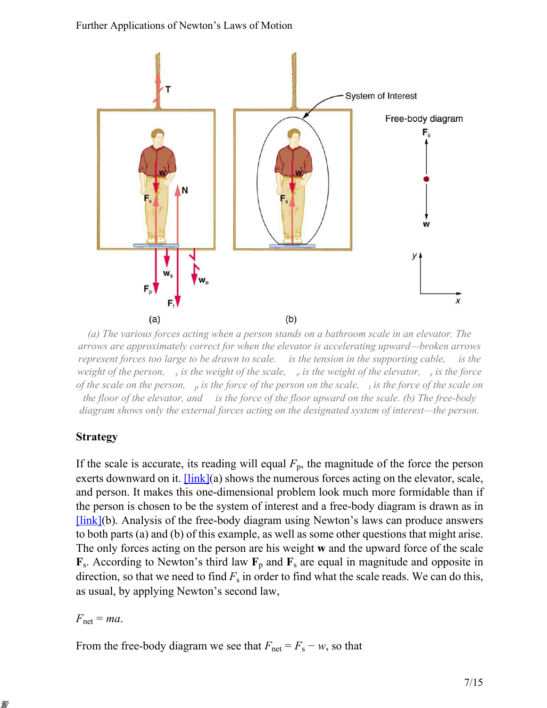<span id="page-6-0"></span>

*(a) The various forces acting when a person stands on a bathroom scale in an elevator. The arrows are approximately correct for when the elevator is accelerating upward—broken arrows represent forces too large to be drawn to scale. is the tension in the supporting cable,* weight of the person, sis the weight of the scale, set is the weight of the elevator, sis the force *of the scale on the person, <sup>p</sup> is the force of the person on the scale, <sup>t</sup> is the force of the scale on the floor of the elevator, and diagram shows only the external forces acting on the designated system of interest—the person.*

#### **Strategy**

*represent forces to large to be drawn to scale.* is the tension in the supporting cable,  $\alpha$  is the weight of the general forces on large of the scale of the scale of the scale of the scale of the scale of the scale of the floor of the elevator, and is the force of the floor upward on the scale. (b) The free-body diagram shows only the external forces acting on the designated system of interest—the person **Strategy** If the scale is accu If the scale is accurate, its reading will equal  $F_p$ , the magnitude of the force the person exerts downward on it.  $[\text{link}](a)$  shows the numerous forces acting on the elevator, scale, and person. It makes this one-dimensional problem look much more formidable than if the person is chosen to be the system of interest and a free-body diagram is drawn as in  $[\text{link}](b)$ . Analysis of the free-body diagram using Newton's laws can produce answers to both parts (a) and (b) of this example, as well as some other questions that might arise. The only forces acting on the person are his weight **w** and the upward force of the scale  $\mathbf{F}_s$ . According to Newton's third law  $\mathbf{F}_p$  and  $\mathbf{F}_s$  are equal in magnitude and opposite in direction, so that we need to find  $F_s$  in order to find what the scale reads. We can do this, as usual, by applying Newton's second law,

 $F_{\text{net}} = ma$ .

**T**

**F**

From the free-body diagram we see that  $F_{\text{net}} = F_s - w$ , so that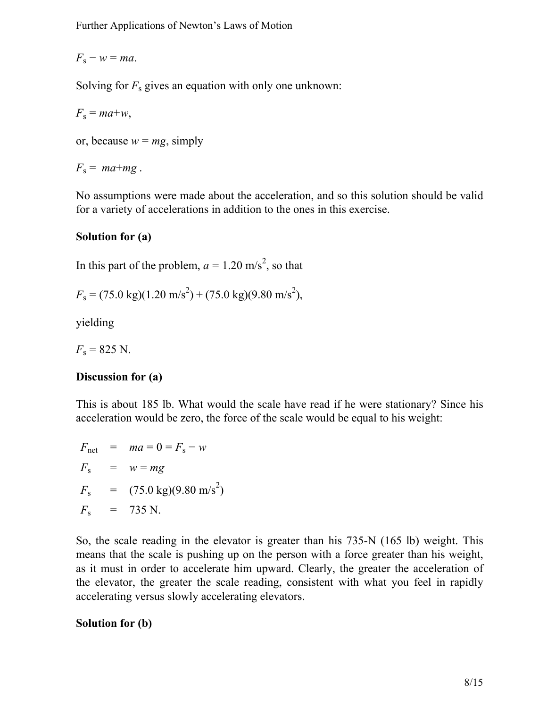Further Applications of Newton's Laws of Motion

$$
F_{\rm s}-w=ma.
$$

Solving for  $F_s$  gives an equation with only one unknown:

$$
F_{\rm s} = ma + w,
$$

or, because  $w = mg$ , simply

$$
F_{\rm s} = \textit{ma+mg}.
$$

No assumptions were made about the acceleration, and so this solution should be valid for a variety of accelerations in addition to the ones in this exercise.

## **Solution for (a)**

In this part of the problem,  $a = 1.20$  m/s<sup>2</sup>, so that

$$
F_s = (75.0 \text{ kg})(1.20 \text{ m/s}^2) + (75.0 \text{ kg})(9.80 \text{ m/s}^2),
$$

yielding

 $F_s = 825$  N.

## **Discussion for (a)**

This is about 185 lb. What would the scale have read if he were stationary? Since his acceleration would be zero, the force of the scale would be equal to his weight:

$$
F_{\text{net}} = ma = 0 = F_{\text{s}} - w
$$
  
\n
$$
F_{\text{s}} = w = mg
$$
  
\n
$$
F_{\text{s}} = (75.0 \text{ kg})(9.80 \text{ m/s}^2)
$$
  
\n
$$
F_{\text{s}} = 735 \text{ N}.
$$

So, the scale reading in the elevator is greater than his 735-N (165 lb) weight. This means that the scale is pushing up on the person with a force greater than his weight, as it must in order to accelerate him upward. Clearly, the greater the acceleration of the elevator, the greater the scale reading, consistent with what you feel in rapidly accelerating versus slowly accelerating elevators.

## **Solution for (b)**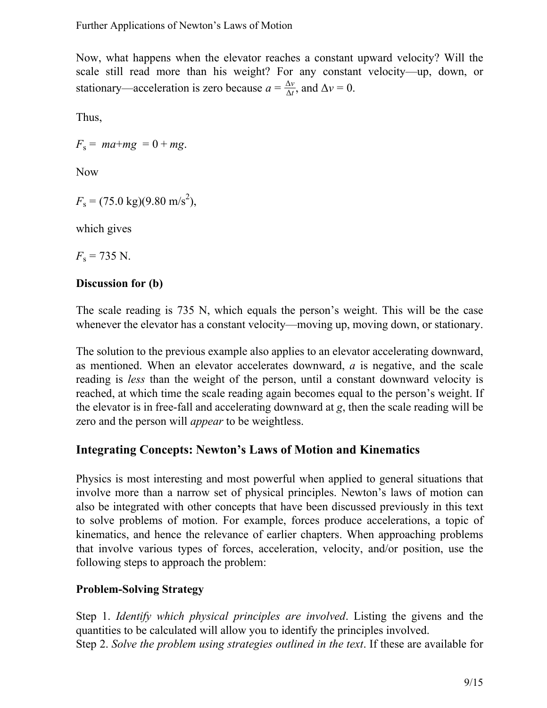Now, what happens when the elevator reaches a constant upward velocity? Will the scale still read more than his weight? For any constant velocity—up, down, or stationary—acceleration is zero because  $a = \frac{\Delta v}{\Delta t}$  $\frac{\Delta v}{\Delta t}$ , and  $\Delta v = 0$ .

Thus,

 $F_s = ma + mg = 0 + mg$ .

Now

 $F_s = (75.0 \text{ kg})(9.80 \text{ m/s}^2)$ ,

which gives

 $F_s = 735$  N.

## **Discussion for (b)**

The scale reading is 735 N, which equals the person's weight. This will be the case whenever the elevator has a constant velocity—moving up, moving down, or stationary.

The solution to the previous example also applies to an elevator accelerating downward, as mentioned. When an elevator accelerates downward, *a* is negative, and the scale reading is *less* than the weight of the person, until a constant downward velocity is reached, at which time the scale reading again becomes equal to the person's weight. If the elevator is in free-fall and accelerating downward at *g*, then the scale reading will be zero and the person will *appear* to be weightless.

# **Integrating Concepts: Newton's Laws of Motion and Kinematics**

Physics is most interesting and most powerful when applied to general situations that involve more than a narrow set of physical principles. Newton's laws of motion can also be integrated with other concepts that have been discussed previously in this text to solve problems of motion. For example, forces produce accelerations, a topic of kinematics, and hence the relevance of earlier chapters. When approaching problems that involve various types of forces, acceleration, velocity, and/or position, use the following steps to approach the problem:

## **Problem-Solving Strategy**

Step 1. *Identify which physical principles are involved*. Listing the givens and the quantities to be calculated will allow you to identify the principles involved. Step 2. *Solve the problem using strategies outlined in the text*. If these are available for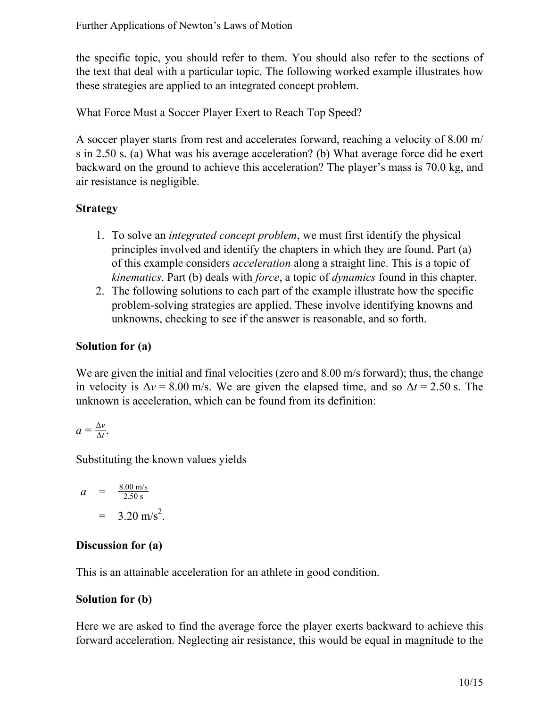the specific topic, you should refer to them. You should also refer to the sections of the text that deal with a particular topic. The following worked example illustrates how these strategies are applied to an integrated concept problem.

What Force Must a Soccer Player Exert to Reach Top Speed?

A soccer player starts from rest and accelerates forward, reaching a velocity of 8.00 m/ s in 2.50 s. (a) What was his average acceleration? (b) What average force did he exert backward on the ground to achieve this acceleration? The player's mass is 70.0 kg, and air resistance is negligible.

# **Strategy**

- 1. To solve an *integrated concept problem*, we must first identify the physical principles involved and identify the chapters in which they are found. Part (a) of this example considers *acceleration* along a straight line. This is a topic of *kinematics*. Part (b) deals with *force*, a topic of *dynamics* found in this chapter.
- 2. The following solutions to each part of the example illustrate how the specific problem-solving strategies are applied. These involve identifying knowns and unknowns, checking to see if the answer is reasonable, and so forth.

# **Solution for (a)**

We are given the initial and final velocities (zero and 8.00 m/s forward); thus, the change in velocity is  $\Delta v = 8.00$  m/s. We are given the elapsed time, and so  $\Delta t = 2.50$  s. The unknown is acceleration, which can be found from its definition:

$$
a=\frac{\Delta v}{\Delta t}.
$$

Substituting the known values yields

$$
a = \frac{8.00 \text{ m/s}}{2.50 \text{ s}}
$$
  
= 3.20 m/s<sup>2</sup>.

# **Discussion for (a)**

This is an attainable acceleration for an athlete in good condition.

# **Solution for (b)**

Here we are asked to find the average force the player exerts backward to achieve this forward acceleration. Neglecting air resistance, this would be equal in magnitude to the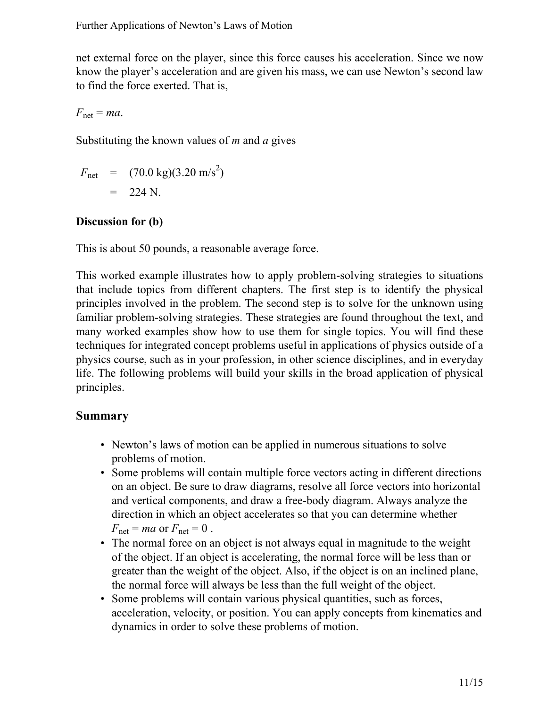net external force on the player, since this force causes his acceleration. Since we now know the player's acceleration and are given his mass, we can use Newton's second law to find the force exerted. That is,

 $F_{\text{net}} = ma$ .

Substituting the known values of *m* and *a* gives

$$
F_{\text{net}} = (70.0 \text{ kg})(3.20 \text{ m/s}^2)
$$
  
= 224 N.

## **Discussion for (b)**

This is about 50 pounds, a reasonable average force.

This worked example illustrates how to apply problem-solving strategies to situations that include topics from different chapters. The first step is to identify the physical principles involved in the problem. The second step is to solve for the unknown using familiar problem-solving strategies. These strategies are found throughout the text, and many worked examples show how to use them for single topics. You will find these techniques for integrated concept problems useful in applications of physics outside of a physics course, such as in your profession, in other science disciplines, and in everyday life. The following problems will build your skills in the broad application of physical principles.

## **Summary**

- Newton's laws of motion can be applied in numerous situations to solve problems of motion.
- Some problems will contain multiple force vectors acting in different directions on an object. Be sure to draw diagrams, resolve all force vectors into horizontal and vertical components, and draw a free-body diagram. Always analyze the direction in which an object accelerates so that you can determine whether  $F_{\text{net}} = ma$  or  $F_{\text{net}} = 0$ .
- The normal force on an object is not always equal in magnitude to the weight of the object. If an object is accelerating, the normal force will be less than or greater than the weight of the object. Also, if the object is on an inclined plane, the normal force will always be less than the full weight of the object.
- Some problems will contain various physical quantities, such as forces, acceleration, velocity, or position. You can apply concepts from kinematics and dynamics in order to solve these problems of motion.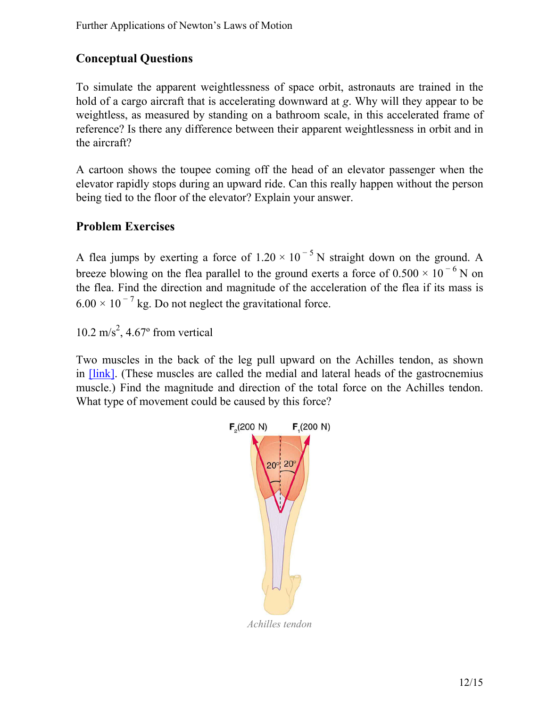# **Conceptual Questions**

To simulate the apparent weightlessness of space orbit, astronauts are trained in the hold of a cargo aircraft that is accelerating downward at *g*. Why will they appear to be weightless, as measured by standing on a bathroom scale, in this accelerated frame of reference? Is there any difference between their apparent weightlessness in orbit and in the aircraft?

A cartoon shows the toupee coming off the head of an elevator passenger when the elevator rapidly stops during an upward ride. Can this really happen without the person being tied to the floor of the elevator? Explain your answer.

## **Problem Exercises**

A flea jumps by exerting a force of  $1.20 \times 10^{-5}$  N straight down on the ground. A breeze blowing on the flea parallel to the ground exerts a force of  $0.500 \times 10^{-6}$  N on the flea. Find the direction and magnitude of the acceleration of the flea if its mass is  $6.00 \times 10^{-7}$  kg. Do not neglect the gravitational force.

 $10.2 \text{ m/s}^2$ , 4.67° from vertical

<span id="page-11-0"></span>Two muscles in the back of the leg pull upward on the Achilles tendon, as shown in [\[link\]](#page-11-0). (These muscles are called the medial and lateral heads of the gastrocnemius muscle.) Find the magnitude and direction of the total force on the Achilles tendon. What type of movement could be caused by this force?

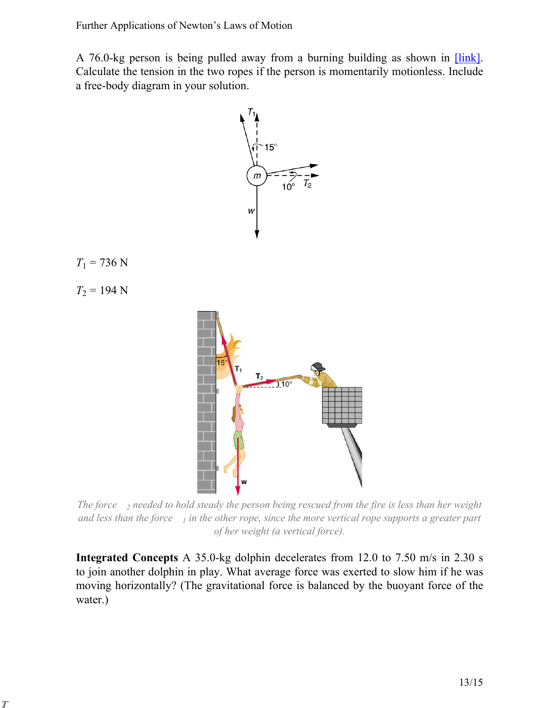A 76.0-kg person is being pulled away from a burning building as shown in [\[link\].](#page-12-0) Calculate the tension in the two ropes if the person is momentarily motionless. Include a free-body diagram in your solution.



<span id="page-12-0"></span>*The force <sup>2</sup> needed to hold steady the person being rescued from the fire is less than her weight and less than the force <sup>1</sup> in the other rope, since the more vertical rope supports a greater part of her weight (a vertical force).*

**Integrated Concepts** A 35.0-kg dolphin decelerates from 12.0 to 7.50 m/s in 2.30 s to join another dolphin in play. What average force was exerted to slow him if he was moving horizontally? (The gravitational force is balanced by the buoyant force of the water.)

**T**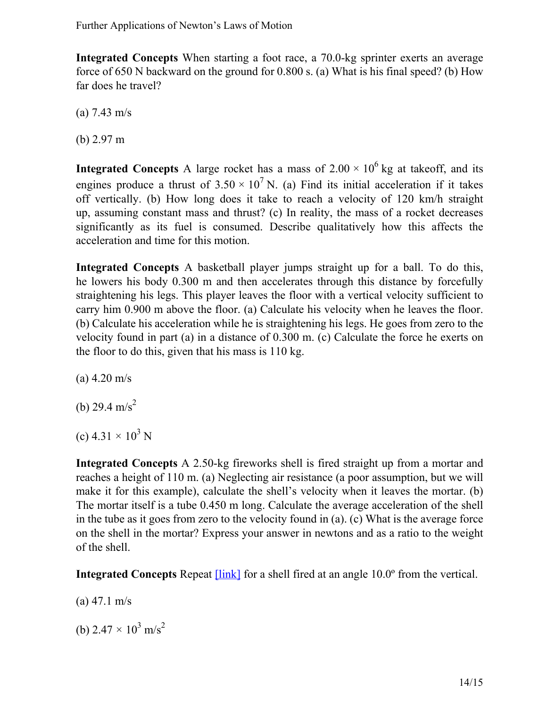**Integrated Concepts** When starting a foot race, a 70.0-kg sprinter exerts an average force of 650 N backward on the ground for 0.800 s. (a) What is his final speed? (b) How far does he travel?

(a) 7.43 m/s

(b) 2.97 m

**Integrated Concepts** A large rocket has a mass of  $2.00 \times 10^6$  kg at takeoff, and its engines produce a thrust of  $3.50 \times 10^7$  N. (a) Find its initial acceleration if it takes off vertically. (b) How long does it take to reach a velocity of 120 km/h straight up, assuming constant mass and thrust? (c) In reality, the mass of a rocket decreases significantly as its fuel is consumed. Describe qualitatively how this affects the acceleration and time for this motion.

**Integrated Concepts** A basketball player jumps straight up for a ball. To do this, he lowers his body 0.300 m and then accelerates through this distance by forcefully straightening his legs. This player leaves the floor with a vertical velocity sufficient to carry him 0.900 m above the floor. (a) Calculate his velocity when he leaves the floor. (b) Calculate his acceleration while he is straightening his legs. He goes from zero to the velocity found in part (a) in a distance of 0.300 m. (c) Calculate the force he exerts on the floor to do this, given that his mass is 110 kg.

(a) 4.20 m/s

(b) 29.4 m/s<sup>2</sup>

(c)  $4.31 \times 10^3$  N

<span id="page-13-0"></span>**Integrated Concepts** A 2.50-kg fireworks shell is fired straight up from a mortar and reaches a height of 110 m. (a) Neglecting air resistance (a poor assumption, but we will make it for this example), calculate the shell's velocity when it leaves the mortar. (b) The mortar itself is a tube 0.450 m long. Calculate the average acceleration of the shell in the tube as it goes from zero to the velocity found in (a). (c) What is the average force on the shell in the mortar? Express your answer in newtons and as a ratio to the weight of the shell.

**Integrated Concepts** Repeat *[\[link\]](#page-13-0)* for a shell fired at an angle 10.0° from the vertical.

(a) 47.1 m/s

(b)  $2.47 \times 10^3$  m/s<sup>2</sup>